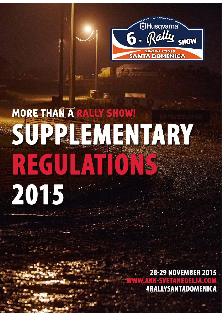

# **MORE THAN A RALLY SHOW!** SUPPLEMENTARY RECULTION 2015

 $\mathcal{L}$ 

*6. Rally Show Santa Domenica 2015 1*

j

**28-29 NOVEMBER 2015** #RALLYSANTADOMENICA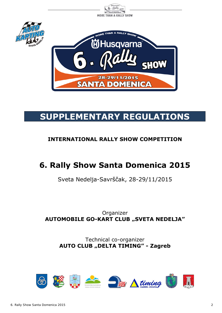

# **SUPPLEMENTARY REGULATIONS**

# **INTERNATIONAL RALLY SHOW COMPETITION**

# **6. Rally Show Santa Domenica 2015**

Sveta Nedelja-Savrščak, 28-29/11/2015

# Organizer **AUTOMOBILE GO-KART CLUB "SVETA NEDELJA"**

Technical co-organizer **AUTO CLUB "DELTA TIMING" - Zagreb** 

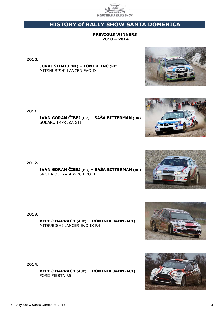

# **HISTORY of RALLY SHOW SANTA DOMENICA**

#### **PREVIOUS WINNERS 2010 – 2014**

**2010.** 

**JURAJ ŠEBALJ (HR) – TONI KLINC (HR)** MITSHUBISHI LANCER EVO IX

**2011.**

 **IVAN GORAN ČIBEJ (HR) – SAŠA BITTERMAN (HR)**  SUBARU IMPREZA STI

**2012.** 

 **IVAN GORAN ČIBEJ (HR) – SAŠA BITTERMAN (HR)** ŠKODA OCTAVIA WRC EVO III

**2013.** 

 **BEPPO HARRACH (AUT) – DOMINIK JAHN (AUT)** MITSUBISHI LANCER EVO IX R4

**2014.** 

 **BEPPO HARRACH (AUT) – DOMINIK JAHN (AUT)** FORD FIESTA R5







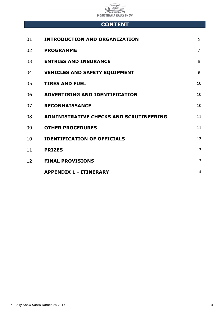

# **CONTENT**

| 01. | <b>INTRODUCTION AND ORGANIZATION</b>        | 5              |
|-----|---------------------------------------------|----------------|
| 02. | <b>PROGRAMME</b>                            | $\overline{7}$ |
| 03. | <b>ENTRIES AND INSURANCE</b>                | 8              |
|     | 04. VEHICLES AND SAFETY EQUIPMENT           | 9              |
| 05. | <b>TIRES AND FUEL</b>                       | 10             |
|     | 06. ADVERTISING AND IDENTIFICATION          | 10             |
| 07. | <b>RECONNAISSANCE</b>                       | 10             |
|     | 08. ADMINISTRATIVE CHECKS AND SCRUTINEERING | 11             |
|     | 09. OTHER PROCEDURES                        | 11             |
|     | 10. <b>IDENTIFICATION OF OFFICIALS</b>      | 13             |
|     | 11. PRIZES                                  | 13             |
|     | 12. FINAL PROVISIONS                        | 13             |
|     | <b>APPENDIX 1 - ITINERARY</b>               | 14             |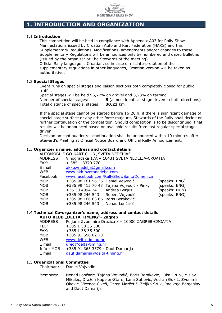

## **1. INTRODUCTION AND ORGANIZATION**

#### 1.1 **Introduction**

This competition will be held in compliance with Appendix A03 for Rally Show Manifestations issued by Croatian Auto and Kart Federation (HAKS) and this Supplementary Regulations. Modifications, amendments and/or changes to these Supplementary Regulations will be announced only by numbered and dated Bulletins (issued by the organizer or The Stewards of the meeting).

Official Rally language is Croatian, so in case of misinterpretation of the supplementary regulations in other languages, Croatian version will be taken as authoritative.

#### 1.2 **Special Stages**

Event runs on special stages and liaison sections both completely closed for public traffic.

Special stages will be held 96,77% on gravel and 3,23% on tarmac.

Number of special stages: **5** (almost identical stage driven in both directions) Total distance of special stages: **30,23** km

If the special stage cannot be started before 16:20 h, if there is significant damage of special stage surface or any other force majeure, Stewards of the Rally shall decide on further continuation of the competition. Should competition is to be discontinued, final results will be announced based on available results from last regular special stage driven.

Decision on continuation/discontinuation shall be announced within 10 minutes after Steward's Meeting at Official Notice Board and Official Rally Announcement.

#### 1.3 **Organizer's name, address and contact details**

|           | AUTOMOBILE GO-KART CLUB "SVETA NEDELJA" |                                               |               |
|-----------|-----------------------------------------|-----------------------------------------------|---------------|
| ADDRESS:  |                                         | Vinogradska 17A - 10431 SVETA NEDELJA-CROATIA |               |
| FAX:      | + 385 1 3370 770                        |                                               |               |
| E mail:   | akk.svnedelja@gmail.com                 |                                               |               |
| WEB:      | www.akk-svetanedelja.com                |                                               |               |
| Facebook: |                                         | www.facebook.com/RallyShowSantaDomenica       |               |
| MOB:      | +385 98 161 56 36 Daniel Vojvodić       |                                               | (speaks: ENG) |
| MOB:      |                                         | +385 99 415 70 43 Tajana Vojvodić - Pinky     | (speaks: ENG) |
| MOB:      | +36 30 4994 241 Andrea Borjus           |                                               | (speaks: HUN) |
| MOB:      | +385 98 246 543                         | Robert Vojvodić                               | (speaks: ENG) |
| MOB:      | +385 98 166 63 66 Boris Beraković       |                                               |               |
| MOB:      | +385 98 246 543                         | Nenad Lončarić                                |               |
|           |                                         |                                               |               |

#### 1.4 **Technical Co-organizer's name, address and contact details AUTO KLUB "DELTA TIMING"- Zagreb**

ADDRESS: Poljana Zvonimira Dražića 8 – 10000 ZAGREB-CROATIA TEL: +385 1 38 35 500 FAX: +385 1 38 35 500 MOB: +385 91 556 02 70 WEB: www.delta-timing.hr E mail: ured@delta-timing.hr Info - MOB:+385 91 365 3579 - Daut Damarija E mail: daut.damarija@delta-timing.hr

#### 1.5 **Organizational Committee**

Chairman: Daniel Vojvodić

 Members: Nenad Lončarić, Tajana Vojvodić, Boris Beraković, Luka Hrubi, Mislav Mikulec, Dražen Kappler-Stare, Lana Sutlović, Vedran Đukić, Zvonimir Oković, Vicenco Čikeš, Ozren Marčetić, Željko Sruk, Radivoje Banjeglav and Daut Damarija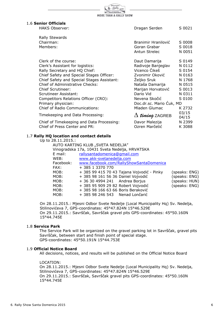| MORE THAN A RALLY SHOW                     | Mally                         |                |
|--------------------------------------------|-------------------------------|----------------|
| 1.6 Senior Officials                       |                               |                |
| <b>HAKS Observer:</b>                      | Dragan Serden                 | S 0021         |
| <b>Rally Stewards</b>                      |                               |                |
| Chairman:                                  | Branimir Hranilović           | S 0008         |
| Members:                                   | Goran Grabar                  | S 0018         |
|                                            | Antun Strelec                 | N 0051         |
| Clerk of the course:                       | Daut Damarija                 | S 0149         |
| Clerk's Assistant for logistics:           | Radivoje Banjeglav            | N 0112         |
| Rally Secretary and HQ Chief:              | Vicenco Čikeš                 | S 0154         |
| Chief Safety and Special Stages Officer:   | Zvonimir Oković               | N 0163         |
| Chief Safety and Special Stages Assistant: | Željko Sruk                   | N 1768         |
| Chief of Administrative Checks:            | Nataša Damarija               | N 0515         |
| Chief Scrutineer:                          | Marijan Horvatović            | S 0013         |
| Scrutineer Assistant:                      | Dario Vid                     | N 0311         |
| Competitors Relations Officer (CRO):       | Nevena Skočić                 | S 0100         |
| Primary physician:                         | Doc.dr.sc. Mario Cuk, MD      |                |
| <b>Chief of Radio Communications:</b>      | Mladen Glumac                 | K 2732         |
| Timekeeping and Data Processing:           | $\Delta$ <i>timing</i> ZAGREB | 03/15<br>04/15 |
| Chief of Timekeeping and Data Processing:  | Davor Malezija                | N 2399         |
| Chief of Press Center and PR:              | Ozren Marčetić                | K 3088         |

#### 1.7 **Rally HQ location and contact details**

| ny ny iocation ana contact actans |                                                |                                            |               |  |  |
|-----------------------------------|------------------------------------------------|--------------------------------------------|---------------|--|--|
| Up to 28.11.2015.:                |                                                |                                            |               |  |  |
|                                   | AUTO KARTING KLUB "SVETA NEDELJA"              |                                            |               |  |  |
|                                   | Vinogradska 17a, 10431 Sveta Nedelja, HRVATSKA |                                            |               |  |  |
| $E$ mail:                         | rallysantadomenica@qmail.com                   |                                            |               |  |  |
| WEB:                              | www.akk-svetanedelja.com                       |                                            |               |  |  |
| Facebook:                         |                                                | www.facebook.com/RallyShowSantaDomenica    |               |  |  |
| FAX:                              | + 385 1 3370 770                               |                                            |               |  |  |
| MOB:                              |                                                | + 385 99 415 70 43 Tajana Vojvodić - Pinky | (speaks: ENG) |  |  |
| MOB:                              | + 385 98 161 56 36 Daniel Vojvodić             |                                            | (speaks: ENG) |  |  |
| MOB:                              | + 36 30 4994 241 Andrea Borjus                 |                                            | (speaks: HUN) |  |  |
| MOB:                              | + 385 95 909 29 82 Robert Vojvodić             |                                            | (speaks: ENG) |  |  |
| MOB:                              | + 385 98 166 63 66 Boris Beraković             |                                            |               |  |  |
| MOB:                              | + 385 98 246 543 Nenad Lončarić                |                                            |               |  |  |
|                                   |                                                |                                            |               |  |  |

On 28.11.2015.: Mjesni Odbor Svete Nedelje (Local Municipality Hq) Sv. Nedelja, Stilinovićeva 7, GPS-coordinates: 45°47.824N 15°46.529E On 29.11.2015.: Savrščak, Savrščak gravel pits GPS-coordinates: 45°50.160N 15°44.745E

#### 1.8 **Service Park**

The Service Park will be organized on the gravel parking lot in Savrščak, gravel pits Savrščak, between start and finish point of special stage. GPS-coordinates: 45°50.191N 15°44.753E

#### 1.9 **Official Notice Board**

All decisions, notices, and results will be published on the Official Notice Board

#### LOCATION:

 On 28.11.2015.: Mjesni Odbor Svete Nedelje (Local Municipality Hq) Sv. Nedelja, Stilinovićeva 7, GPS-coordinates: 45°47.824N 15°46.529E On 29.11.2015.: Savrščak, Savrščak gravel pits GPS-coordinates: 45°50.160N 15°44.745E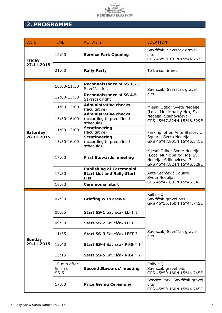

# **2. PROGRAMME**

| <b>DATE</b>                 | <b>TIME</b>                         | <b>ACTIVITY</b>                                                              | <b>LOCATION</b>                                                                                                     |  |
|-----------------------------|-------------------------------------|------------------------------------------------------------------------------|---------------------------------------------------------------------------------------------------------------------|--|
| <b>Friday</b>               | 12:00                               | <b>Service Park Opening</b>                                                  | Savrščak, Savrščak gravel<br>pits<br>GPS 45°50.191N 15°44.753E                                                      |  |
| 27.11.2015                  | 21:00                               | <b>Rally Party</b>                                                           | To be confirmed                                                                                                     |  |
|                             | 10:00-11:30                         | Reconnaissance of SS 1,2,3<br>Savrščak left                                  | Savrščak, Savrščak gravel                                                                                           |  |
|                             | 12:00-13:30                         | Reconnaissance of SS 4,5<br>Savrščak right                                   | pits                                                                                                                |  |
|                             | 11:00-13:00                         | <b>Administrative checks</b><br>(facultative)                                | Mjesni Odbor Svete Nedelje                                                                                          |  |
|                             | 13:30-16:00                         | <b>Administrative checks</b><br>(according to predefined<br>schedule)        | (Local Municipality Hq), Sv.<br>Nedelja, Stilinovićeva 7<br>GPS 45°47.824N 15°46.529E                               |  |
| <b>Saturday</b>             | 11:00-13:00                         | <b>Scrutineering</b><br>(facultative)                                        | Parking lot on Ante Starčević                                                                                       |  |
| 28.11.2015                  | 13:30-16:00                         | <b>Scrutineering</b><br>(according to predefined<br>schedule)                | Square, Sveta Nedelja<br>GPS 45°47.801N 15°46.541E                                                                  |  |
|                             | 17:00                               | <b>First Stewards' meeting</b>                                               | Mjesni Odbor Svete Nedelje<br>(Local Municipality Hq), Sv.<br>Nedelja, Stilinovićeva 7<br>GPS 45°47.824N 15°46.529E |  |
|                             | 17:30                               | <b>Publishing of Ceremonial</b><br><b>Start List and Rally Start</b><br>List | Ante Starčević Square<br>Sveta Nedelja,                                                                             |  |
|                             | 18:00                               | <b>Ceremonial start</b>                                                      | GPS 45°47.801N 15°46.541E                                                                                           |  |
|                             | 07:30                               | <b>Briefing with crews</b>                                                   | Rally HQ,<br>Savrščak gravel pits<br>GPS 45°50.160N 15°44.745E                                                      |  |
|                             | 08:05                               | Start SS-1 Savrščak LEFT 1                                                   |                                                                                                                     |  |
|                             | 09:50                               | Start SS-2 Savrščak LEFT 2                                                   | Savrščak, Savrščak gravel<br>pits                                                                                   |  |
|                             | 11:35                               | <b>Start SS-3</b> Savrščak LEFT 3                                            |                                                                                                                     |  |
| <b>Sunday</b><br>29.11.2015 | 13:40                               | <b>Start SS-4</b> Savrščak RIGHT 1                                           |                                                                                                                     |  |
|                             | 15:15                               | Start SS-5 Savrščak RIGHT 2                                                  |                                                                                                                     |  |
|                             | 10 min after<br>finish of<br>$SS-5$ | <b>Second Stewards' meeting</b>                                              | Rally HQ,<br>Savrščak gravel pits<br>GPS 45°50.160N 15°44.745E                                                      |  |
|                             | 17:00                               | <b>Prize Giving Ceremony</b>                                                 | Service Park, Savrščak gravel<br>pits<br>GPS 45°50.160N 15°44.745E                                                  |  |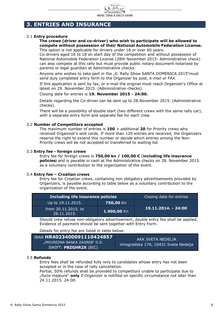

# **3. ENTRIES AND INSURANCE**

#### 3.1 **Entry procedure**

#### **The crews (driver and co-driver) who wish to participate will be allowed to compete without possession of their National Automobile Federation License.**  This option is not applicable for drivers under 18 or over 60 years.

Co-drivers aged 16 to 18 on start day of the competition and without possession of National Automobile Federation License (28th November 2015- Administrative check) can also compete at this rally but must provide public notary document notarized by parents or legal guardian at Administrative checks.

Anyone who wishes to take part in the "6. Rally Show SANTA DOMENICA 2015"must send duly completed entry form to the Organizer by post, e-mail or FAX.

If this application is sent by fax, or e-mail the original must reach Organizer's Office at latest on 29. November 2015. (Administrative checks).

#### Closing date for entries is **19. November 2015 - 24:00.**

Details regarding the Co-driver can be sent up to 28.November 2015. (Administrative checks).

There will be a possibility of double start (two different crews with the same rally car), with a separate entry form and separate fee for each crew.

#### 3.2 **Number of Competitors accepted**

The maximum number of entries is **100** + additional **20** for Priority crews who received Organizer's wild cards. If more than 120 entries are received, the Organizers reserve the right to extend this number or decide which entries among the Non-Priority crews will be not accepted or transferred to waiting list.

#### 3.3 **Entry fee - foreign crews**

Entry fee for foreign crews is **750,00 kn / 100,00 €** (**including life insurance policies)** and is payable in cash at the Administrative checks on 28. November 2015. as a voluntary contribution to the organization of the event.

#### 3.4 **Entry fee – Croatian crews**

Entry fee for Croatian crews, containing non obligatory advertisements provided by Organizers, is payable according to table below as a voluntary contribution to the organization of the event.

| Including life insurance policies  | Closing date for entries |                     |  |
|------------------------------------|--------------------------|---------------------|--|
| Up to 19.11.2015.                  | <b>750,00 Kn</b>         |                     |  |
| from 20.11.2015, to<br>28.11.2015. | 1.000,00 Kn              | 19.11.2014. - 24:00 |  |

Should crew refuse non-obligatory advertisement, double entry fee shall be applied. Evidence of payment should be sent together with Entry Form.

Details for entry fee are listed in table below:

| IBAN HR4023400091110424857                             | AKK SVETA NEDELJA                    |
|--------------------------------------------------------|--------------------------------------|
| "PRIVREDNA BANKA ZAGREB" D.D.<br>SWIFT: PBZGHR2X (BIC) | Vinogradska 17A, 10431 Sveta Nedelja |

#### 3.5 **Refunds**

Entry fees shall be refunded fully only to candidates whose entry has not been accepted or in the case of rally cancellation.

Partial, 50% refunds shall be provided to competitors unable to participate due to "force majeure" **only** if Organizer is notified on specific circumstance not later than 24.11.2015. 24:00.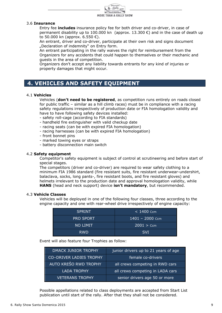

#### 3.6 **Insurance**

Entry fee **includes** insurance policy fee for both driver and co-driver, in case of permanent disability up to 100.000 kn (approx. 13.300  $\epsilon$ ) and in the case of death up to 50.000 kn (approx. 6.550 €).

An entrant, driver and co-driver, participate at their own risk and signs document "Declaration of indemnity" on Entry form.

An entrant participating in the rally waives the right for reimbursement from the Organizers for any accidents that could happen to themselves or their mechanic and guests in the area of competition.

Organizers don't accept any liability towards entrants for any kind of injuries or property damages that might occur.

# **4. VEHICLES AND SAFETY EQUIPMENT**

#### 4.1 **Vehicles**

 Vehicles (**don't need to be registered**, as competition runs entirely on roads closed for public traffic – similar as a hill climb races) must be in compliance with a racing safety regulations irrespectively of production date or FIA homologation validity and have to have following safety devices installed:

- safety roll-cage (according to FIA standards)
- handheld fire extinguisher with valid checkup date
- racing seats (can be with expired FIA homologation)
- racing harnesses (can be with expired FIA homologation)
- front bonnet pins
- marked towing eyes or straps
- battery disconnection main switch

#### 4.2 **Safety equipment**

 Competitor's safety equipment is subject of control at scrutineering and before start of special stages.

 The competitors (driver and co-driver) are required to wear safety clothing to a minimum FIA 1986 standard (fire resistant suits, fire resistant underwear-undershirt, balaclava, socks, long pants-, fire resistant boots, and fire resistant gloves) and helmets irrelevant to the production date and approval homologation validity, while **HANS** (head and neck support) device **isn't mandatory**, but recommended.

#### 4.3 **Vehicle Classes**

Vehicles will be deployed in one of the following four classes, three according to the engine capacity and one with rear-wheel drive irrespectively of engine capacity:

| <b>SPRINT</b>    | $< 1400$ Ccm    |
|------------------|-----------------|
| <b>PRO SPORT</b> | 1401 - 2000 Ccm |
| <b>NO LIMIT</b>  | 12001 > Ccm     |
| <b>RWD</b>       | <b>SVI</b>      |

Event will also feature four Trophies as follow:

| <b>DMACK JUNIOR TROPHY</b>     | junior drivers up to 21 years of age |
|--------------------------------|--------------------------------------|
| <b>CO-DRIVER LADIES TROPHY</b> | female co-drivers                    |
| AUTO KREŠO RWD TROPHY          | all crews competing in RWD cars      |
| <b>LADA TROPHY</b>             | all crews competing in LADA cars     |
| <b>VETERANS TROPHY</b>         | senior drivers age 50 or more        |

Possible appellations related to class deployments are accepted from Start List publication until start of the rally. After that they shall not be considered.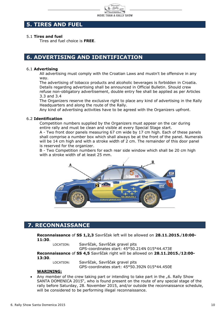

# **5. TIRES AND FUEL**

#### 5.1 **Tires and fuel**

Tires and fuel choice is **FREE**.

## **6. ADVERTISING AND IDENTIFICATION**

#### 6.1 **Advertising**

 All advertising must comply with the Croatian Laws and mustn't be offensive in any way.

The advertising of tobacco products and alcoholic beverages is forbidden in Croatia. Details regarding advertising shall be announced in Official Bulletin. Should crew refuse non-obligatory advertisement, double entry fee shall be applied as per Articles 3.3 and 3.4

 The Organizers reserve the exclusive right to place any kind of advertising in the Rally Headquarters and along the route of the Rally.

Any kind of advertising activities have to be agreed with the Organizers upfront.

#### 6.2 **Identification**

Competition numbers supplied by the Organizers must appear on the car during entire rally and must be clean and visible at every Special Stage start.

 A - Two front door panels measuring 67 cm wide by 17 cm high. Each of these panels shall comprise a number box which shall always be at the front of the panel. Numerals will be 14 cm high and with a stroke width of 2 cm. The remainder of this door panel is reserved for the organizer.

 B - Two Competition numbers for each rear side window which shall be 20 cm high with a stroke width of at least 25 mm.



# **7. RECONNAISSANCE**

**Reconnaissance** of **SS 1,2,3** Savrščak left will be allowed on **28.11.2015.**/**10:00- 11:30**.

LOCATION: Savrščak, Savrščak gravel pits

GPS-coordinates start: 45°50.214N 015°44.473E

**Reconnaissance** of **SS 4,5** Savrščak right will be allowed on **28.11.2015.**/**12:00- 13:30**.

LOCATION: Savrščak, Savrščak gravel pits GPS-coordinates start: 45°50.392N 015°44.450E

#### **WARINING:**

Any member of the crew taking part or intending to take part in the "6. Rally Show SANTA DOMENICA 2015", who is found present on the route of any special stage of the rally before Saturday, 28. November 2015, and/or outside the reconnaissance schedule, will be considered to be performing illegal reconnaissance.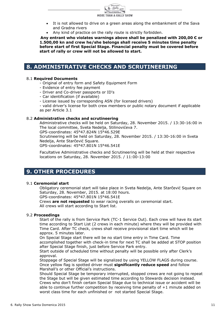

- It is not allowed to drive on a green areas along the embankment of the Sava and Gradna rivers
- Any kind of practice on the rally route is strictly forbidden.

 **Any entrant who violates warnings above shall be penalized with 200,00 € or 1.500,00 kn and crew he/she belongs shall receive 5 minutes time penalty before start of first Special Stage. Financial penalty must be covered before start of rally or crew will not be allowed to start.** 

## **8. ADMINISTRATIVE CHECKS AND SCRUTINEERING**

#### 8.1 **Required Documents**

- Original of entry form and Safety Equipment Form
- Evidence of entry fee payment
- Driver and Co-driver passports or ID's
- Car identification (if available)
- License issued by corresponding ASN (for licensed drivers)

 - valid driver's license for both crew members or public notary document if applicable as per Article 3.1

#### 8.2 **Administrative checks and scrutineering**

Administrative checks will be held on Saturday, 28. November 2015. / 13:30-16:00 in The local committee, Sveta Nedelja, Stilinovićeva 7.

GPS-coordinates: 45°47.824N 15°46.529E

Scrutineering will be held on Saturday, 28. November 2015. / 13:30-16:00 in Sveta Nedelja, Ante Starčević Square.

GPS-coordinates: 45°47.801N 15°46.541E

Facultative Administrative checks and Scrutineering will be held at their respective locations on Saturday, 28. November 2015. / 11:00-13:00

### **9. OTHER PROCEDURES**

#### 9.1 **Ceremonial start**

Obligatory ceremonial start will take place in Sveta Nedelja, Ante Starčević Square on Saturday, 28. November, 2015. at 18:00 hours.

GPS-coordinates: 45°47.801N 15°46.541E

Crews **are not requested** to wear racing overalls on ceremonial start. All crews will start according to Start list.

#### 9.2 **Proceedings**

 Start of the rally is from Service Park (TC-1 Service Out). Each crew will have its start time according to Start List (2 crews in each minute) where they will be provided with Time Card. After TC check, crews shall receive provisional start time which will be approx. 5 minutes later.

 On Special Stage start there will be no start time entry in Time Card. Time accomplished together with check-in time for next TC shall be added at STOP position after Special Stage finish, just before Service Park entry.

 Start outside of scheduled time without penalty will be possible only after Clerk's approval.

 Stoppage of Special Stage will be signalized by using YELLOW FLAGS during course. Once yellow flag is spotted driver must **significantly reduce speed** and follow Marshall's or other Official's instructions.

 Should Special Stage be temporary interrupted, stopped crews are not going to repeat the Stage but will be given estimated time according to Stewards decision instead. Crews who don't finish certain Special Stage due to technical issue or accident will be able to continue further competition by receiving time penalty of  $+1$  minute added on worst class time for each unfinished or not started Special Stage.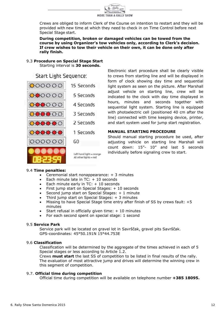

 Crews are obliged to inform Clerk of the Course on intention to restart and they will be provided with new time at which they need to check in on Time Control before next Special Stage start.

**During competition, broken or damaged vehicles can be towed from the course by using Organizer's tow vehicles only, according to Clerk's decision. If crew wishes to tow their vehicle on their own, it can be done only after rally finish.** 

#### 9.3 **Procedure on Special Stage Start**  Starting interval is **30 seconds.**

Start Light Sequence:



Electronic start procedure shall be clearly visible to crews from starting line and will be displayed in form of clock showing day time and sequential light system as seen on the picture. After Marshall adjust vehicle on starting line, crew will be indicated to the clock with day time displayed in hours, minutes and seconds together with sequential light system. Starting line is equipped with photoelectric cell (positioned 40 cm after the line) connected with time keeping device, printer, and start system used for jump start registration.

#### **MANUAL STARTING PROCEDURE**

Should manual starting procedure be used, after adjusting vehicle on starting line Marshall will count down: 15"- 10" and last 5 seconds individually before signaling crew to start.

#### 9.4 **Time penalties:**

- Ceremonial start nonappearance: + 3 minutes
- Each minute late in  $TC: + 10$  seconds
- Each minute early in  $TC: + 10$  seconds
- First jump start on Special Stages:  $+10$  seconds
- Second jump start on Special Stages: + 1 minute
- Third jump start on Special Stages: + 3 minutes
- Missing to have Special Stage time entry after finish of SS by crews fault: +5 minutes
- Start refusal in officially given time: + 10 minutes
- For each second spent on special stage: 1 second

#### 9.5 **Service Park**

Service park will be located on gravel lot in Savrščak, gravel pits Savrščak. GPS-coordinates: 45°50.191N 15°44.753E

#### 9.6 **Classification**

Classification will be determined by the aggregate of the times achieved in each of 5 Special stages or less according to Article 1.2.

Crews **must start** the last SS of competition to be listed in final results of the rally. The evaluation of most attractive jump and drives will determine the winning crew in this segment of competition.

#### 9.7. **Official time during competition**

Official time during competition will be available on telephone number **+385 18095.**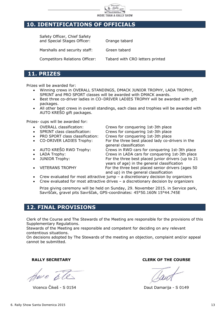

# **10. IDENTIFICATIONS OF OFFICIALS**

Safety Officer, Chief Safety and Special Stages Officer: Orange tabard Marshalls and security staff: Green tabard Competitors Relations Officer: Tabard with CRO letters printed

## **11. PRIZES**

Prizes will be awarded for:

- Winning crews in OVERALL STANDINGS, DMACK JUNIOR TROPHY, LADA TROPHY, SPRINT and PRO SPORT classes will be awarded with DMACK awards.
- Best three co-driver ladies in CO–DRIVER LADIES TROPHY will be awarded with gift packages.
- All other best crews in overall standings, each class and trophies will be awarded with AUTO KREŠO gift packages.

Prizes- cups will be awarded for:

- OVERALL classification: Crews for conquering 1st-3th place
- SPRINT class classification: Crews for conquering 1st-3th place
- PRO SPORT class classification: Crews for conquering 1st-3th place
- 
- general classification<br>Grews in RWD cars for a Crews in RWD cars for a Line of the Music set
- 
- 
- 

CO-DRIVER LADIES Trophy: For the three best placed lady co-drivers in the

Crews in RWD cars for conquering 1st-3th place LADA Trophy: Crews in LADA cars for conquering 1st-3th place JUNIOR Trophy: For the three best placed junior drivers (up to 21 years of age) in the general classification • VETERANS TROPHY For the three best placed senior drivers (ages 50 and up) in the general classification

- Crew evaluated for most attractive jump a discretionary decision by organizers
- Crew evaluated for most attractive drives a discretionary decision by organizers

Prize giving ceremony will be held on Sunday, 29. November 2015. in Service park, Savrščak, gravel pits Savrščak, GPS-coordinates: 45°50.160N 15°44.745E

# **12. FINAL PROVISIONS**

Clerk of the Course and The Stewards of the Meeting are responsible for the provisions of this Supplementary Regulations.

Stewards of the Meeting are responsible and competent for deciding on any relevant contentious situations.

On decisions adopted by The Stewards of the meeting an objection, complaint and/or appeal cannot be submitted.

beu c

Vicenco Čikeš - S 0154 Daut Damarija - S 0149

**RALLY SECRETARY CLERK OF THE COURSE**